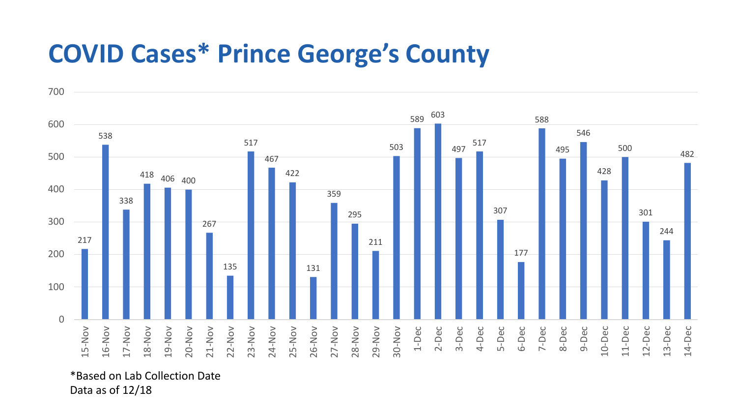## **COVID Cases\* Prince George's County**



\*Based on Lab Collection Date Data as of 12/18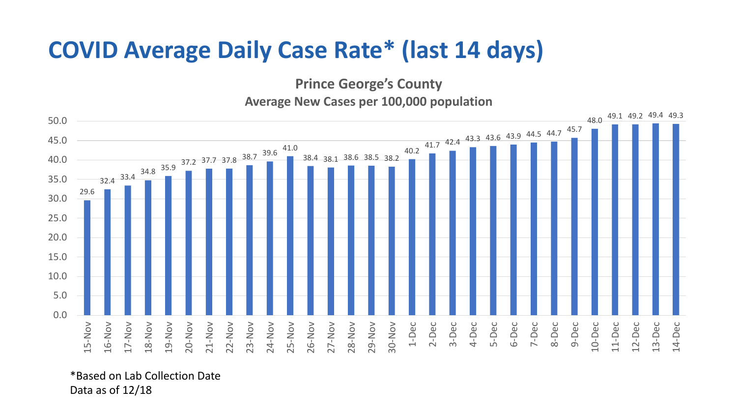## **COVID Average Daily Case Rate\* (last 14 days)**

**Prince George's County**

**Average New Cases per 100,000 population**



\*Based on Lab Collection Date Data as of 12/18